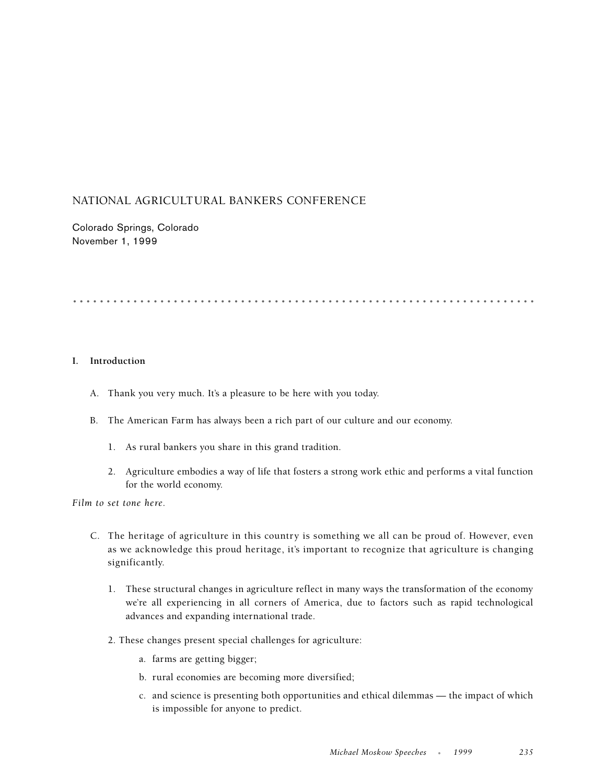# NATIONAL AGRICULTURAL BANKERS CONFERENCE

Colorado Springs, Colorado November 1, 1999

.....................................................................

# **I. Introduction**

- A. Thank you very much. It's a pleasure to be here with you today.
- B. The American Farm has always been a rich part of our culture and our economy.
	- 1. As rural bankers you share in this grand tradition.
	- 2. Agriculture embodies a way of life that fosters a strong work ethic and performs a vital function for the world economy.

*Film to set tone here.*

- C. The heritage of agriculture in this country is something we all can be proud of. However, even as we acknowledge this proud heritage, it's important to recognize that agriculture is changing significantly.
	- 1. These structural changes in agriculture reflect in many ways the transformation of the economy we're all experiencing in all corners of America, due to factors such as rapid technological advances and expanding international trade.
	- 2. These changes present special challenges for agriculture:
		- a. farms are getting bigger;
		- b. rural economies are becoming more diversified;
		- c. and science is presenting both opportunities and ethical dilemmas the impact of which is impossible for anyone to predict.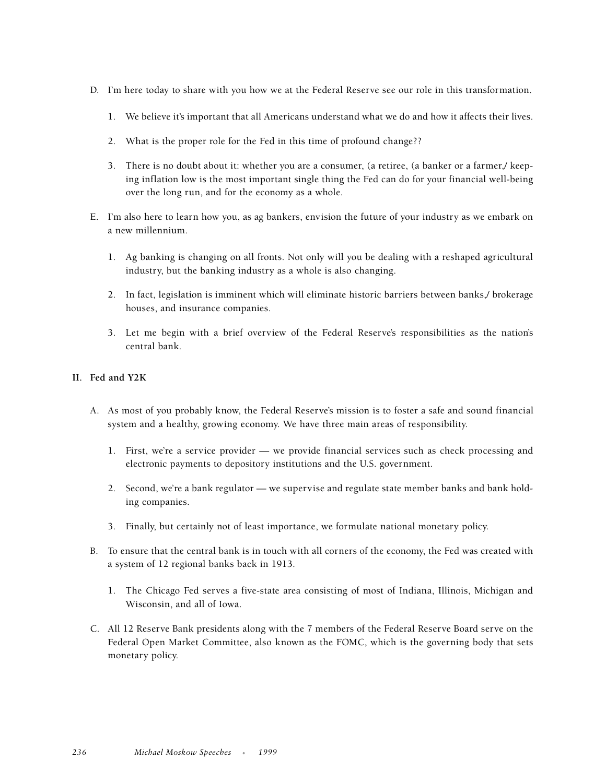- D. I'm here today to share with you how we at the Federal Reserve see our role in this transformation.
	- 1. We believe it's important that all Americans understand what we do and how it affects their lives.
	- 2. What is the proper role for the Fed in this time of profound change??
	- 3. There is no doubt about it: whether you are a consumer, (a retiree, (a banker or a farmer,/ keeping inflation low is the most important single thing the Fed can do for your financial well-being over the long run, and for the economy as a whole.
- E. I'm also here to learn how you, as ag bankers, envision the future of your industry as we embark on a new millennium.
	- 1. Ag banking is changing on all fronts. Not only will you be dealing with a reshaped agricultural industry, but the banking industry as a whole is also changing.
	- 2. In fact, legislation is imminent which will eliminate historic barriers between banks,/ brokerage houses, and insurance companies.
	- 3. Let me begin with a brief overview of the Federal Reserve's responsibilities as the nation's central bank.

# **II. Fed and Y2K**

- A. As most of you probably know, the Federal Reserve's mission is to foster a safe and sound financial system and a healthy, growing economy. We have three main areas of responsibility.
	- 1. First, we're a service provider we provide financial services such as check processing and electronic payments to depository institutions and the U.S. government.
	- 2. Second, we're a bank regulator we supervise and regulate state member banks and bank holding companies.
	- 3. Finally, but certainly not of least importance, we formulate national monetary policy.
- B. To ensure that the central bank is in touch with all corners of the economy, the Fed was created with a system of 12 regional banks back in 1913.
	- 1. The Chicago Fed serves a five-state area consisting of most of Indiana, Illinois, Michigan and Wisconsin, and all of Iowa.
- C. All 12 Reserve Bank presidents along with the 7 members of the Federal Reserve Board serve on the Federal Open Market Committee, also known as the FOMC, which is the governing body that sets monetary policy.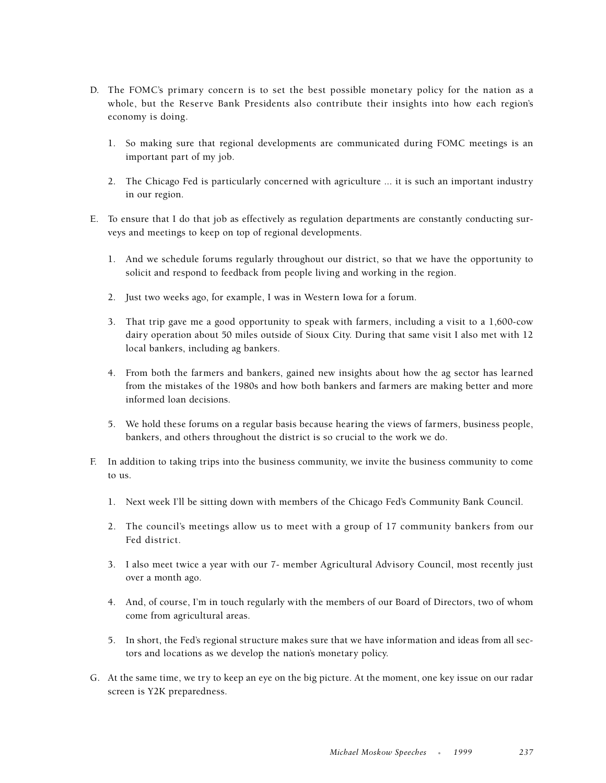- D. The FOMC's primary concern is to set the best possible monetary policy for the nation as a whole, but the Reserve Bank Presidents also contribute their insights into how each region's economy is doing.
	- 1. So making sure that regional developments are communicated during FOMC meetings is an important part of my job.
	- 2. The Chicago Fed is particularly concerned with agriculture ... it is such an important industry in our region.
- E. To ensure that I do that job as effectively as regulation departments are constantly conducting surveys and meetings to keep on top of regional developments.
	- 1. And we schedule forums regularly throughout our district, so that we have the opportunity to solicit and respond to feedback from people living and working in the region.
	- 2. Just two weeks ago, for example, I was in Western Iowa for a forum.
	- 3. That trip gave me a good opportunity to speak with farmers, including a visit to a 1,600-cow dairy operation about 50 miles outside of Sioux City. During that same visit I also met with 12 local bankers, including ag bankers.
	- 4. From both the farmers and bankers, gained new insights about how the ag sector has learned from the mistakes of the 1980s and how both bankers and farmers are making better and more informed loan decisions.
	- 5. We hold these forums on a regular basis because hearing the views of farmers, business people, bankers, and others throughout the district is so crucial to the work we do.
- F. In addition to taking trips into the business community, we invite the business community to come to us.
	- 1. Next week I'll be sitting down with members of the Chicago Fed's Community Bank Council.
	- 2. The council's meetings allow us to meet with a group of 17 community bankers from our Fed district.
	- 3. I also meet twice a year with our 7- member Agricultural Advisory Council, most recently just over a month ago.
	- 4. And, of course, I'm in touch regularly with the members of our Board of Directors, two of whom come from agricultural areas.
	- 5. In short, the Fed's regional structure makes sure that we have information and ideas from all sectors and locations as we develop the nation's monetary policy.
- G. At the same time, we try to keep an eye on the big picture. At the moment, one key issue on our radar screen is Y2K preparedness.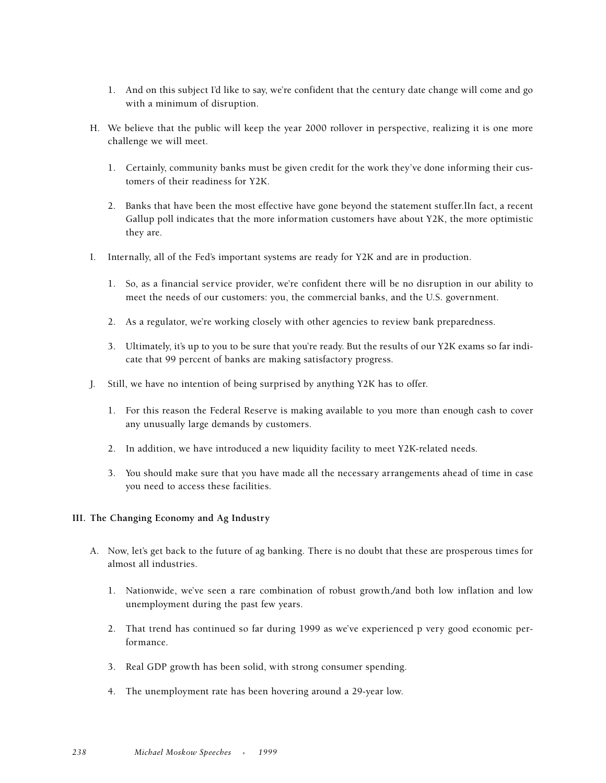- 1. And on this subject I'd like to say, we're confident that the century date change will come and go with a minimum of disruption.
- H. We believe that the public will keep the year 2000 rollover in perspective, realizing it is one more challenge we will meet.
	- 1. Certainly, community banks must be given credit for the work they've done informing their customers of their readiness for Y2K.
	- 2. Banks that have been the most effective have gone beyond the statement stuffer.lIn fact, a recent Gallup poll indicates that the more information customers have about Y2K, the more optimistic they are.
- I. Internally, all of the Fed's important systems are ready for Y2K and are in production.
	- 1. So, as a financial service provider, we're confident there will be no disruption in our ability to meet the needs of our customers: you, the commercial banks, and the U.S. government.
	- 2. As a regulator, we're working closely with other agencies to review bank preparedness.
	- 3. Ultimately, it's up to you to be sure that you're ready. But the results of our Y2K exams so far indicate that 99 percent of banks are making satisfactory progress.
- J. Still, we have no intention of being surprised by anything Y2K has to offer.
	- 1. For this reason the Federal Reserve is making available to you more than enough cash to cover any unusually large demands by customers.
	- 2. In addition, we have introduced a new liquidity facility to meet Y2K-related needs.
	- 3. You should make sure that you have made all the necessary arrangements ahead of time in case you need to access these facilities.

# **III. The Changing Economy and Ag Industry**

- A. Now, let's get back to the future of ag banking. There is no doubt that these are prosperous times for almost all industries.
	- 1. Nationwide, we've seen a rare combination of robust growth,/and both low inflation and low unemployment during the past few years.
	- 2. That trend has continued so far during 1999 as we've experienced p very good economic performance.
	- 3. Real GDP growth has been solid, with strong consumer spending.
	- 4. The unemployment rate has been hovering around a 29-year low.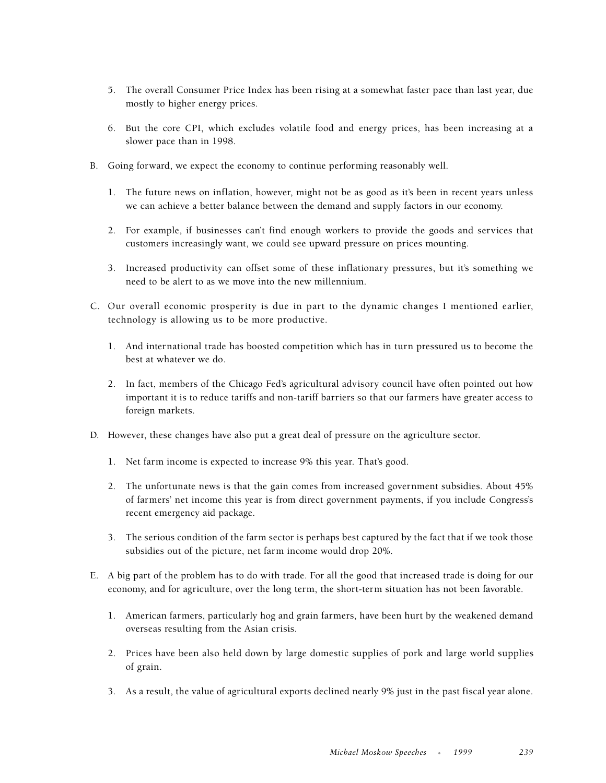- 5. The overall Consumer Price Index has been rising at a somewhat faster pace than last year, due mostly to higher energy prices.
- 6. But the core CPI, which excludes volatile food and energy prices, has been increasing at a slower pace than in 1998.
- B. Going forward, we expect the economy to continue performing reasonably well.
	- 1. The future news on inflation, however, might not be as good as it's been in recent years unless we can achieve a better balance between the demand and supply factors in our economy.
	- 2. For example, if businesses can't find enough workers to provide the goods and services that customers increasingly want, we could see upward pressure on prices mounting.
	- 3. Increased productivity can offset some of these inflationary pressures, but it's something we need to be alert to as we move into the new millennium.
- C. Our overall economic prosperity is due in part to the dynamic changes I mentioned earlier, technology is allowing us to be more productive.
	- 1. And international trade has boosted competition which has in turn pressured us to become the best at whatever we do.
	- 2. In fact, members of the Chicago Fed's agricultural advisory council have often pointed out how important it is to reduce tariffs and non-tariff barriers so that our farmers have greater access to foreign markets.
- D. However, these changes have also put a great deal of pressure on the agriculture sector.
	- 1. Net farm income is expected to increase 9% this year. That's good.
	- 2. The unfortunate news is that the gain comes from increased government subsidies. About 45% of farmers' net income this year is from direct government payments, if you include Congress's recent emergency aid package.
	- 3. The serious condition of the farm sector is perhaps best captured by the fact that if we took those subsidies out of the picture, net farm income would drop 20%.
- E. A big part of the problem has to do with trade. For all the good that increased trade is doing for our economy, and for agriculture, over the long term, the short-term situation has not been favorable.
	- 1. American farmers, particularly hog and grain farmers, have been hurt by the weakened demand overseas resulting from the Asian crisis.
	- 2. Prices have been also held down by large domestic supplies of pork and large world supplies of grain.
	- 3. As a result, the value of agricultural exports declined nearly 9% just in the past fiscal year alone.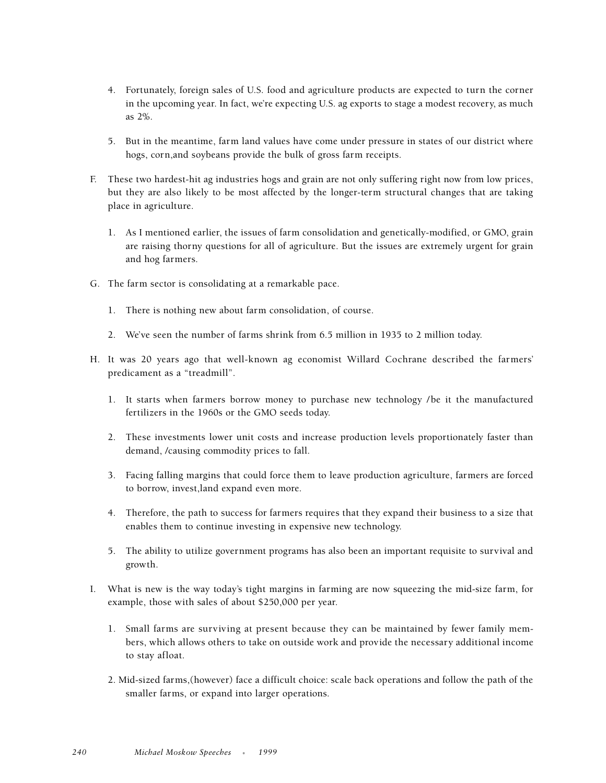- 4. Fortunately, foreign sales of U.S. food and agriculture products are expected to turn the corner in the upcoming year. In fact, we're expecting U.S. ag exports to stage a modest recovery, as much as 2%.
- 5. But in the meantime, farm land values have come under pressure in states of our district where hogs, corn,and soybeans provide the bulk of gross farm receipts.
- F. These two hardest-hit ag industries hogs and grain are not only suffering right now from low prices, but they are also likely to be most affected by the longer-term structural changes that are taking place in agriculture.
	- 1. As I mentioned earlier, the issues of farm consolidation and genetically-modified, or GMO, grain are raising thorny questions for all of agriculture. But the issues are extremely urgent for grain and hog farmers.
- G. The farm sector is consolidating at a remarkable pace.
	- 1. There is nothing new about farm consolidation, of course.
	- 2. We've seen the number of farms shrink from 6.5 million in 1935 to 2 million today.
- H. It was 20 years ago that well-known ag economist Willard Cochrane described the farmers' predicament as a "treadmill".
	- 1. It starts when farmers borrow money to purchase new technology /be it the manufactured fertilizers in the 1960s or the GMO seeds today.
	- 2. These investments lower unit costs and increase production levels proportionately faster than demand, /causing commodity prices to fall.
	- 3. Facing falling margins that could force them to leave production agriculture, farmers are forced to borrow, invest,land expand even more.
	- 4. Therefore, the path to success for farmers requires that they expand their business to a size that enables them to continue investing in expensive new technology.
	- 5. The ability to utilize government programs has also been an important requisite to survival and growth.
- I. What is new is the way today's tight margins in farming are now squeezing the mid-size farm, for example, those with sales of about \$250,000 per year.
	- 1. Small farms are surviving at present because they can be maintained by fewer family members, which allows others to take on outside work and provide the necessary additional income to stay afloat.
	- 2. Mid-sized farms,(however) face a difficult choice: scale back operations and follow the path of the smaller farms, or expand into larger operations.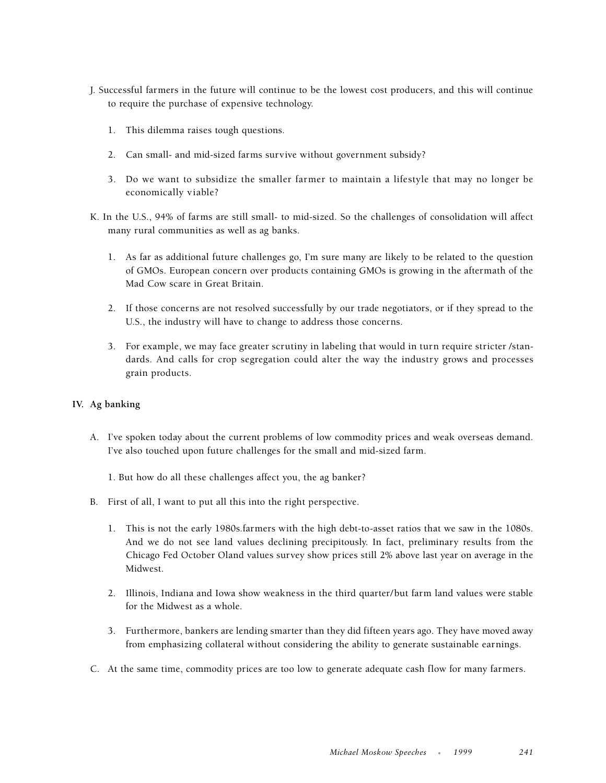- J. Successful farmers in the future will continue to be the lowest cost producers, and this will continue to require the purchase of expensive technology.
	- 1. This dilemma raises tough questions.
	- 2. Can small- and mid-sized farms survive without government subsidy?
	- 3. Do we want to subsidize the smaller farmer to maintain a lifestyle that may no longer be economically viable?
- K. In the U.S., 94% of farms are still small- to mid-sized. So the challenges of consolidation will affect many rural communities as well as ag banks.
	- 1. As far as additional future challenges go, I'm sure many are likely to be related to the question of GMOs. European concern over products containing GMOs is growing in the aftermath of the Mad Cow scare in Great Britain.
	- 2. If those concerns are not resolved successfully by our trade negotiators, or if they spread to the U.S., the industry will have to change to address those concerns.
	- 3. For example, we may face greater scrutiny in labeling that would in turn require stricter /standards. And calls for crop segregation could alter the way the industry grows and processes grain products.

### **IV. Ag banking**

- A. I've spoken today about the current problems of low commodity prices and weak overseas demand. I've also touched upon future challenges for the small and mid-sized farm.
	- 1. But how do all these challenges affect you, the ag banker?
- B. First of all, I want to put all this into the right perspective.
	- 1. This is not the early 1980s.farmers with the high debt-to-asset ratios that we saw in the 1080s. And we do not see land values declining precipitously. In fact, preliminary results from the Chicago Fed October Oland values survey show prices still 2% above last year on average in the Midwest.
	- 2. Illinois, Indiana and Iowa show weakness in the third quarter/but farm land values were stable for the Midwest as a whole.
	- 3. Furthermore, bankers are lending smarter than they did fifteen years ago. They have moved away from emphasizing collateral without considering the ability to generate sustainable earnings.
- C. At the same time, commodity prices are too low to generate adequate cash flow for many farmers.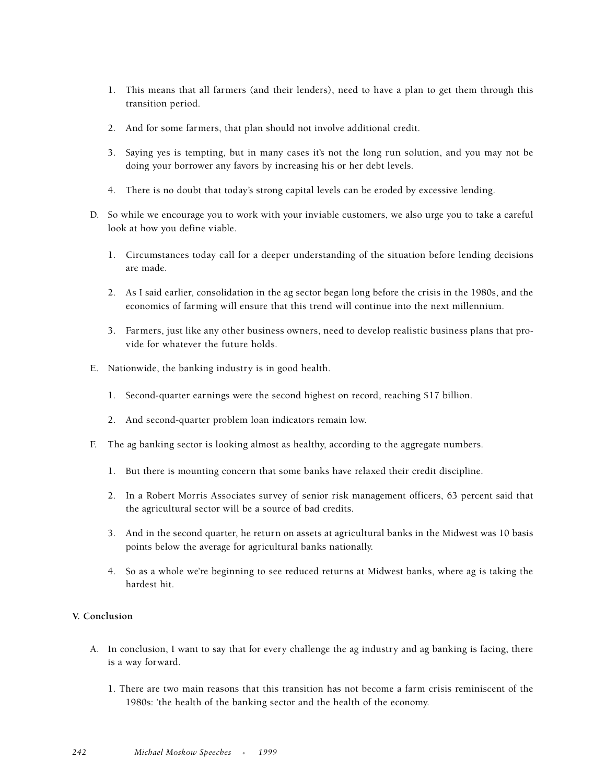- 1. This means that all farmers (and their lenders), need to have a plan to get them through this transition period.
- 2. And for some farmers, that plan should not involve additional credit.
- 3. Saying yes is tempting, but in many cases it's not the long run solution, and you may not be doing your borrower any favors by increasing his or her debt levels.
- 4. There is no doubt that today's strong capital levels can be eroded by excessive lending.
- D. So while we encourage you to work with your inviable customers, we also urge you to take a careful look at how you define viable.
	- 1. Circumstances today call for a deeper understanding of the situation before lending decisions are made.
	- 2. As I said earlier, consolidation in the ag sector began long before the crisis in the 1980s, and the economics of farming will ensure that this trend will continue into the next millennium.
	- 3. Farmers, just like any other business owners, need to develop realistic business plans that provide for whatever the future holds.
- E. Nationwide, the banking industry is in good health.
	- 1. Second-quarter earnings were the second highest on record, reaching \$17 billion.
	- 2. And second-quarter problem loan indicators remain low.
- F. The ag banking sector is looking almost as healthy, according to the aggregate numbers.
	- 1. But there is mounting concern that some banks have relaxed their credit discipline.
	- 2. In a Robert Morris Associates survey of senior risk management officers, 63 percent said that the agricultural sector will be a source of bad credits.
	- 3. And in the second quarter, he return on assets at agricultural banks in the Midwest was 10 basis points below the average for agricultural banks nationally.
	- 4. So as a whole we're beginning to see reduced returns at Midwest banks, where ag is taking the hardest hit.

### **V. Conclusion**

- A. In conclusion, I want to say that for every challenge the ag industry and ag banking is facing, there is a way forward.
	- 1. There are two main reasons that this transition has not become a farm crisis reminiscent of the 1980s: 'the health of the banking sector and the health of the economy.